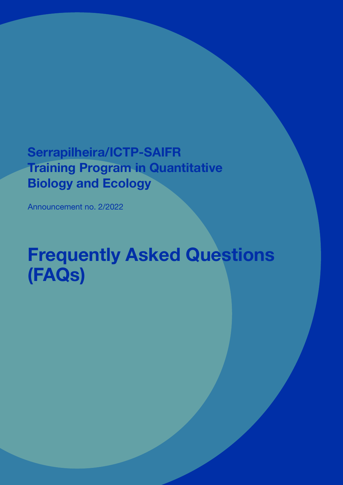# **Serrapilheira/ICTP-SAIFR Training Program in Quantitative Biology and Ecology**

Announcement no. 2/2022

# **Frequently Asked Questions (FAQs)**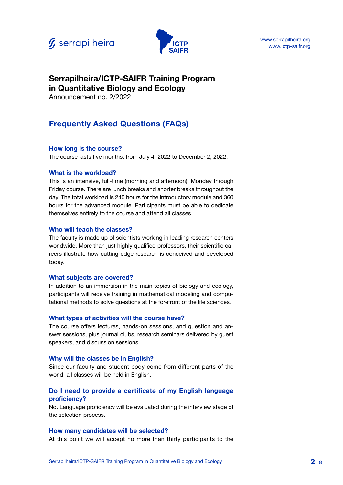



# **Serrapilheira/ICTP-SAIFR Training Program**

**in Quantitative Biology and Ecology** 

Announcement no. 2/2022

# **Frequently Asked Questions (FAQs)**

#### **How long is the course?**

The course lasts five months, from July 4, 2022 to December 2, 2022.

#### **What is the workload?**

This is an intensive, full-time (morning and afternoon), Monday through Friday course. There are lunch breaks and shorter breaks throughout the day. The total workload is 240 hours for the introductory module and 360 hours for the advanced module. Participants must be able to dedicate themselves entirely to the course and attend all classes.

#### **Who will teach the classes?**

The faculty is made up of scientists working in leading research centers worldwide. More than just highly qualified professors, their scientific careers illustrate how cutting-edge research is conceived and developed today.

#### **What subjects are covered?**

In addition to an immersion in the main topics of biology and ecology, participants will receive training in mathematical modeling and computational methods to solve questions at the forefront of the life sciences.

#### **What types of activities will the course have?**

The course offers lectures, hands-on sessions, and question and answer sessions, plus journal clubs, research seminars delivered by guest speakers, and discussion sessions.

#### **Why will the classes be in English?**

Since our faculty and student body come from different parts of the world, all classes will be held in English.

# **Do I need to provide a certificate of my English language proficiency?**

No. Language proficiency will be evaluated during the interview stage of the selection process.

#### **How many candidates will be selected?**

At this point we will accept no more than thirty participants to the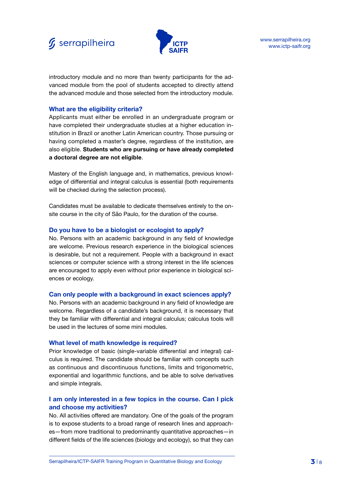



introductory module and no more than twenty participants for the advanced module from the pool of students accepted to directly attend the advanced module and those selected from the introductory module.

#### **What are the eligibility criteria?**

Applicants must either be enrolled in an undergraduate program or have completed their undergraduate studies at a higher education institution in Brazil or another Latin American country. Those pursuing or having completed a master's degree, regardless of the institution, are also eligible. **Students who are pursuing or have already completed a doctoral degree are not eligible**.

Mastery of the English language and, in mathematics, previous knowledge of differential and integral calculus is essential (both requirements will be checked during the selection process).

Candidates must be available to dedicate themselves entirely to the onsite course in the city of São Paulo, for the duration of the course.

#### **Do you have to be a biologist or ecologist to apply?**

No. Persons with an academic background in any field of knowledge are welcome. Previous research experience in the biological sciences is desirable, but not a requirement. People with a background in exact sciences or computer science with a strong interest in the life sciences are encouraged to apply even without prior experience in biological sciences or ecology.

#### **Can only people with a background in exact sciences apply?**

No. Persons with an academic background in any field of knowledge are welcome. Regardless of a candidate's background, it is necessary that they be familiar with differential and integral calculus; calculus tools will be used in the lectures of some mini modules.

#### **What level of math knowledge is required?**

Prior knowledge of basic (single-variable differential and integral) calculus is required. The candidate should be familiar with concepts such as continuous and discontinuous functions, limits and trigonometric, exponential and logarithmic functions, and be able to solve derivatives and simple integrals.

# **I am only interested in a few topics in the course. Can I pick and choose my activities?**

No. All activities offered are mandatory. One of the goals of the program is to expose students to a broad range of research lines and approaches—from more traditional to predominantly quantitative approaches—in different fields of the life sciences (biology and ecology), so that they can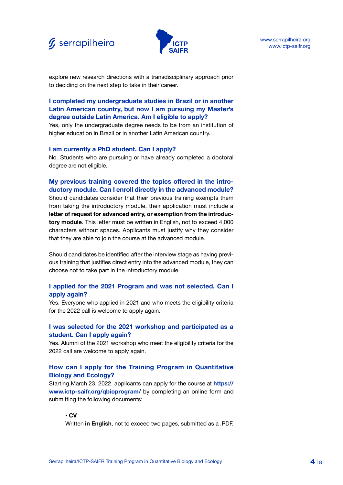



explore new research directions with a transdisciplinary approach prior to deciding on the next step to take in their career.

# **I completed my undergraduate studies in Brazil or in another Latin American country, but now I am pursuing my Master's degree outside Latin America. Am I eligible to apply?**

Yes, only the undergraduate degree needs to be from an institution of higher education in Brazil or in another Latin American country.

#### **I am currently a PhD student. Can I apply?**

No. Students who are pursuing or have already completed a doctoral degree are not eligible.

#### **My previous training covered the topics offered in the introductory module. Can I enroll directly in the advanced module?**

Should candidates consider that their previous training exempts them from taking the introductory module, their application must include a **letter of request for advanced entry, or exemption from the introductory module**. This letter must be written in English, not to exceed 4,000 characters without spaces. Applicants must justify why they consider that they are able to join the course at the advanced module.

Should candidates be identified after the interview stage as having previous training that justifies direct entry into the advanced module, they can choose not to take part in the introductory module.

# **I applied for the 2021 Program and was not selected. Can I apply again?**

Yes. Everyone who applied in 2021 and who meets the eligibility criteria for the 2022 call is welcome to apply again.

#### **I was selected for the 2021 workshop and participated as a student. Can I apply again?**

Yes. Alumni of the 2021 workshop who meet the eligibility criteria for the 2022 call are welcome to apply again.

# **How can I apply for the Training Program in Quantitative Biology and Ecology?**

Starting March 23, 2022, applicants can apply for the course at **[https://](https://www.ictp-saifr.org/qbioprogram/) [www.ictp-saifr.org/qbioprogram/](https://www.ictp-saifr.org/qbioprogram/)** by completing an online form and submitting the following documents:

#### **• CV**

Written **in English**, not to exceed two pages, submitted as a .PDF.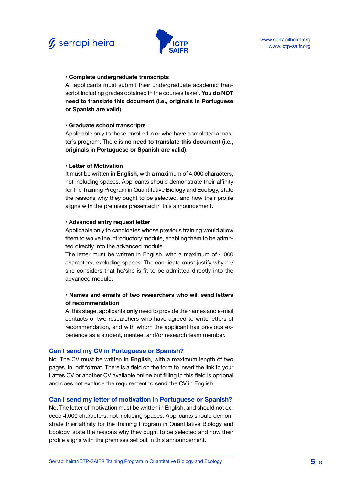



#### **• Complete undergraduate transcripts**

All applicants must submit their undergraduate academic transcript including grades obtained in the courses taken. **You do NOT need to translate this document (i.e., originals in Portuguese or Spanish are valid)**.

#### **• Graduate school transcripts**

Applicable only to those enrolled in or who have completed a master's program. There is **no need to translate this document (i.e., originals in Portuguese or Spanish are valid)**.

#### **• Letter of Motivation**

It must be written **in English**, with a maximum of 4,000 characters, not including spaces. Applicants should demonstrate their affinity for the Training Program in Quantitative Biology and Ecology, state the reasons why they ought to be selected, and how their profile aligns with the premises presented in this announcement.

#### **• Advanced entry request letter**

Applicable only to candidates whose previous training would allow them to waive the introductory module, enabling them to be admitted directly into the advanced module.

The letter must be written in English, with a maximum of 4,000 characters, excluding spaces. The candidate must justify why he/ she considers that he/she is fit to be admitted directly into the advanced module.

# **• Names and emails of two researchers who will send letters of recommendation**

At this stage, applicants **only** need to provide the names and e-mail contacts of two researchers who have agreed to write letters of recommendation, and with whom the applicant has previous experience as a student, mentee, and/or research team member.

#### **Can I send my CV in Portuguese or Spanish?**

No. The CV must be written **in English**, with a maximum length of two pages, in .pdf format. There is a field on the form to insert the link to your Lattes CV or another CV available online but filling in this field is optional and does not exclude the requirement to send the CV in English.

#### **Can I send my letter of motivation in Portuguese or Spanish?**

No. The letter of motivation must be written in English, and should not exceed 4,000 characters, not including spaces. Applicants should demonstrate their affinity for the Training Program in Quantitative Biology and Ecology, state the reasons why they ought to be selected and how their profile aligns with the premises set out in this announcement.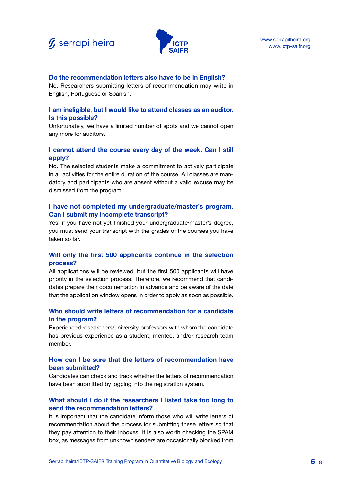



#### **Do the recommendation letters also have to be in English?**

No. Researchers submitting letters of recommendation may write in English, Portuguese or Spanish.

#### **I am ineligible, but I would like to attend classes as an auditor. Is this possible?**

Unfortunately, we have a limited number of spots and we cannot open any more for auditors.

# **I cannot attend the course every day of the week. Can I still apply?**

No. The selected students make a commitment to actively participate in all activities for the entire duration of the course. All classes are mandatory and participants who are absent without a valid excuse may be dismissed from the program.

#### **I have not completed my undergraduate/master's program. Can I submit my incomplete transcript?**

Yes, if you have not yet finished your undergraduate/master's degree, you must send your transcript with the grades of the courses you have taken so far.

# **Will only the first 500 applicants continue in the selection process?**

All applications will be reviewed, but the first 500 applicants will have priority in the selection process. Therefore, we recommend that candidates prepare their documentation in advance and be aware of the date that the application window opens in order to apply as soon as possible.

# **Who should write letters of recommendation for a candidate in the program?**

Experienced researchers/university professors with whom the candidate has previous experience as a student, mentee, and/or research team member.

# **How can I be sure that the letters of recommendation have been submitted?**

Candidates can check and track whether the letters of recommendation have been submitted by logging into the registration system.

# **What should I do if the researchers I listed take too long to send the recommendation letters?**

It is important that the candidate inform those who will write letters of recommendation about the process for submitting these letters so that they pay attention to their inboxes. It is also worth checking the SPAM box, as messages from unknown senders are occasionally blocked from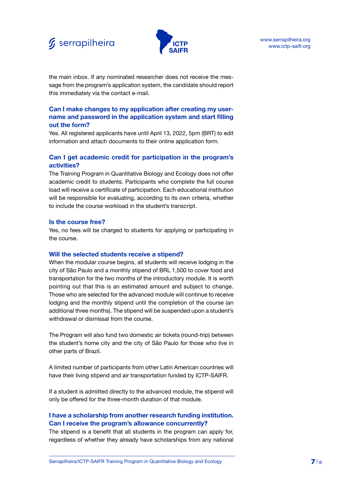



the main inbox. If any nominated researcher does not receive the message from the program's application system, the candidate should report this immediately via the contact e-mail.

# **Can I make changes to my application after creating my username and password in the application system and start filling out the form?**

Yes. All registered applicants have until April 13, 2022, 5pm (BRT) to edit information and attach documents to their online application form.

# **Can I get academic credit for participation in the program's activities?**

The Training Program in Quantitative Biology and Ecology does not offer academic credit to students. Participants who complete the full course load will receive a certificate of participation. Each educational institution will be responsible for evaluating, according to its own criteria, whether to include the course workload in the student's transcript.

#### **Is the course free?**

Yes, no fees will be charged to students for applying or participating in the course.

#### **Will the selected students receive a stipend?**

When the modular course begins, all students will receive lodging in the city of São Paulo and a monthly stipend of BRL 1,500 to cover food and transportation for the two months of the introductory module. It is worth pointing out that this is an estimated amount and subject to change. Those who are selected for the advanced module will continue to receive lodging and the monthly stipend until the completion of the course (an additional three months). The stipend will be suspended upon a student's withdrawal or dismissal from the course.

The Program will also fund two domestic air tickets (round-trip) between the student's home city and the city of São Paulo for those who live in other parts of Brazil.

A limited number of participants from other Latin American countries will have their living stipend and air transportation funded by ICTP-SAIFR.

If a student is admitted directly to the advanced module, the stipend will only be offered for the three-month duration of that module.

# **I have a scholarship from another research funding institution. Can I receive the program's allowance concurrently?**

The stipend is a benefit that all students in the program can apply for, regardless of whether they already have scholarships from any national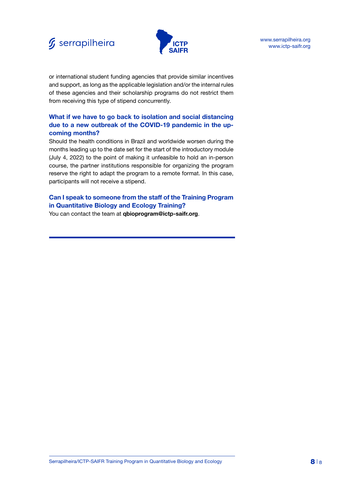



or international student funding agencies that provide similar incentives and support, as long as the applicable legislation and/or the internal rules of these agencies and their scholarship programs do not restrict them from receiving this type of stipend concurrently.

# **What if we have to go back to isolation and social distancing due to a new outbreak of the COVID-19 pandemic in the upcoming months?**

Should the health conditions in Brazil and worldwide worsen during the months leading up to the date set for the start of the introductory module (July 4, 2022) to the point of making it unfeasible to hold an in-person course, the partner institutions responsible for organizing the program reserve the right to adapt the program to a remote format. In this case, participants will not receive a stipend.

# **Can I speak to someone from the staff of the Training Program in Quantitative Biology and Ecology Training?**

You can contact the team at **qbioprogram@ictp-saifr.org**.